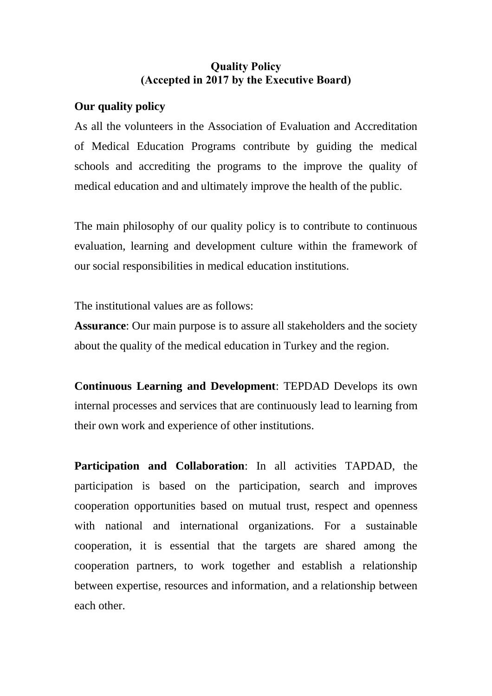## **Quality Policy (Accepted in 2017 by the Executive Board)**

## **Our quality policy**

As all the volunteers in the Association of Evaluation and Accreditation of Medical Education Programs contribute by guiding the medical schools and accrediting the programs to the improve the quality of medical education and and ultimately improve the health of the public.

The main philosophy of our quality policy is to contribute to continuous evaluation, learning and development culture within the framework of our social responsibilities in medical education institutions.

The institutional values are as follows:

**Assurance**: Our main purpose is to assure all stakeholders and the society about the quality of the medical education in Turkey and the region.

**Continuous Learning and Development**: TEPDAD Develops its own internal processes and services that are continuously lead to learning from their own work and experience of other institutions.

**Participation and Collaboration**: In all activities TAPDAD, the participation is based on the participation, search and improves cooperation opportunities based on mutual trust, respect and openness with national and international organizations. For a sustainable cooperation, it is essential that the targets are shared among the cooperation partners, to work together and establish a relationship between expertise, resources and information, and a relationship between each other.